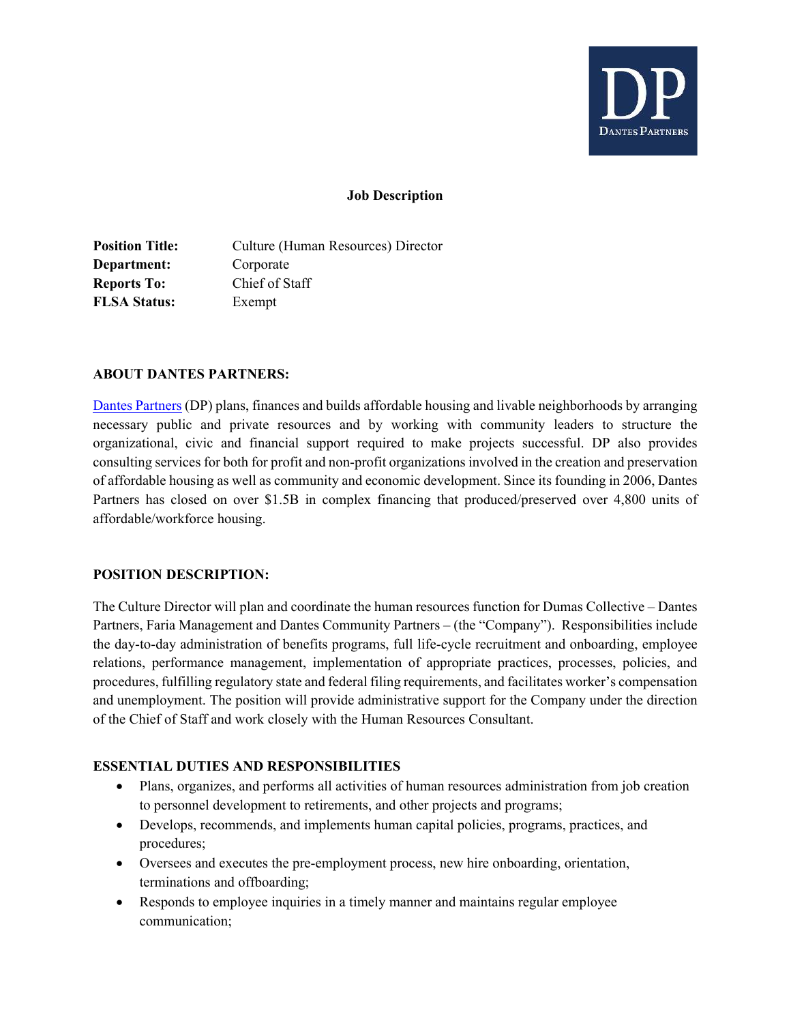

#### **Job Description**

**Position Title:** Culture (Human Resources) Director **Department:** Corporate **Reports To:** Chief of Staff **FLSA Status:** Exempt

#### **ABOUT DANTES PARTNERS:**

Dantes Partners (DP) plans, finances and builds affordable housing and livable neighborhoods by arranging necessary public and private resources and by working with community leaders to structure the organizational, civic and financial support required to make projects successful. DP also provides consulting services for both for profit and non-profit organizations involved in the creation and preservation of affordable housing as well as community and economic development. Since its founding in 2006, Dantes Partners has closed on over \$1.5B in complex financing that produced/preserved over 4,800 units of affordable/workforce housing.

#### **POSITION DESCRIPTION:**

The Culture Director will plan and coordinate the human resources function for Dumas Collective – Dantes Partners, Faria Management and Dantes Community Partners – (the "Company"). Responsibilities include the day-to-day administration of benefits programs, full life-cycle recruitment and onboarding, employee relations, performance management, implementation of appropriate practices, processes, policies, and procedures, fulfilling regulatory state and federal filing requirements, and facilitates worker's compensation and unemployment. The position will provide administrative support for the Company under the direction of the Chief of Staff and work closely with the Human Resources Consultant.

## **ESSENTIAL DUTIES AND RESPONSIBILITIES**

- Plans, organizes, and performs all activities of human resources administration from job creation to personnel development to retirements, and other projects and programs;
- Develops, recommends, and implements human capital policies, programs, practices, and procedures;
- Oversees and executes the pre-employment process, new hire onboarding, orientation, terminations and offboarding;
- Responds to employee inquiries in a timely manner and maintains regular employee communication;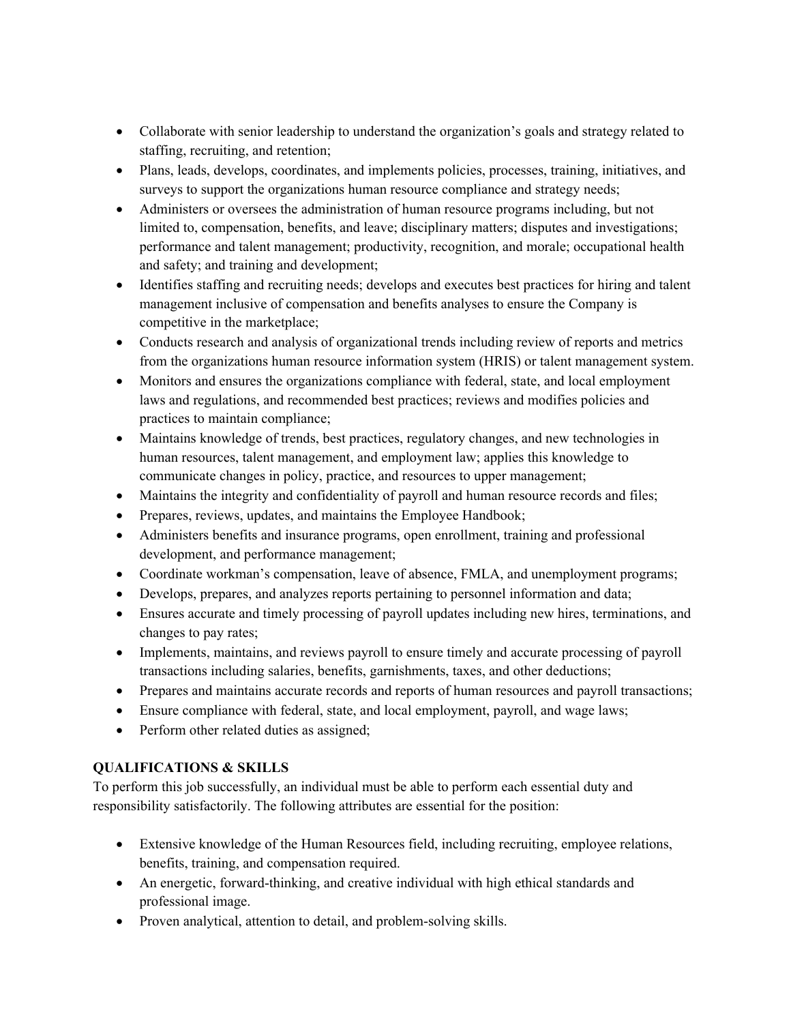- Collaborate with senior leadership to understand the organization's goals and strategy related to staffing, recruiting, and retention;
- Plans, leads, develops, coordinates, and implements policies, processes, training, initiatives, and surveys to support the organizations human resource compliance and strategy needs;
- Administers or oversees the administration of human resource programs including, but not limited to, compensation, benefits, and leave; disciplinary matters; disputes and investigations; performance and talent management; productivity, recognition, and morale; occupational health and safety; and training and development;
- Identifies staffing and recruiting needs; develops and executes best practices for hiring and talent management inclusive of compensation and benefits analyses to ensure the Company is competitive in the marketplace;
- Conducts research and analysis of organizational trends including review of reports and metrics from the organizations human resource information system (HRIS) or talent management system.
- Monitors and ensures the organizations compliance with federal, state, and local employment laws and regulations, and recommended best practices; reviews and modifies policies and practices to maintain compliance;
- Maintains knowledge of trends, best practices, regulatory changes, and new technologies in human resources, talent management, and employment law; applies this knowledge to communicate changes in policy, practice, and resources to upper management;
- Maintains the integrity and confidentiality of payroll and human resource records and files;
- Prepares, reviews, updates, and maintains the Employee Handbook;
- Administers benefits and insurance programs, open enrollment, training and professional development, and performance management;
- Coordinate workman's compensation, leave of absence, FMLA, and unemployment programs;
- Develops, prepares, and analyzes reports pertaining to personnel information and data;
- Ensures accurate and timely processing of payroll updates including new hires, terminations, and changes to pay rates;
- Implements, maintains, and reviews payroll to ensure timely and accurate processing of payroll transactions including salaries, benefits, garnishments, taxes, and other deductions;
- Prepares and maintains accurate records and reports of human resources and payroll transactions;
- Ensure compliance with federal, state, and local employment, payroll, and wage laws;
- Perform other related duties as assigned;

## **QUALIFICATIONS & SKILLS**

To perform this job successfully, an individual must be able to perform each essential duty and responsibility satisfactorily. The following attributes are essential for the position:

- Extensive knowledge of the Human Resources field, including recruiting, employee relations, benefits, training, and compensation required.
- An energetic, forward-thinking, and creative individual with high ethical standards and professional image.
- Proven analytical, attention to detail, and problem-solving skills.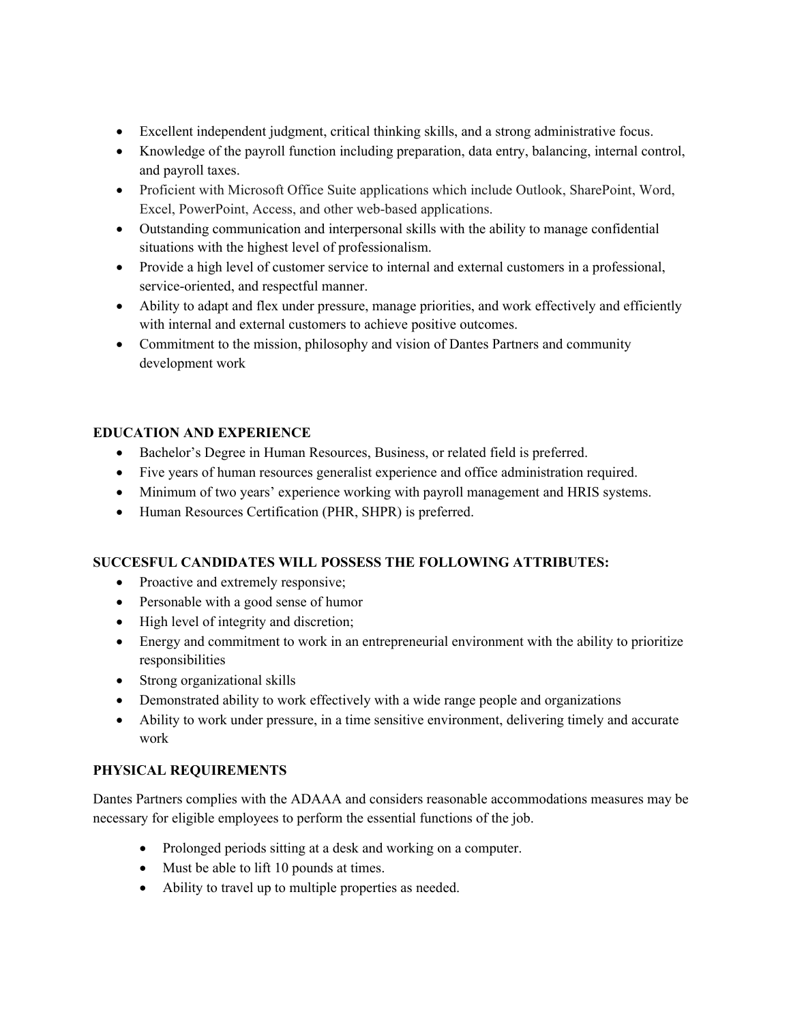- Excellent independent judgment, critical thinking skills, and a strong administrative focus.
- Knowledge of the payroll function including preparation, data entry, balancing, internal control, and payroll taxes.
- Proficient with Microsoft Office Suite applications which include Outlook, SharePoint, Word, Excel, PowerPoint, Access, and other web-based applications.
- Outstanding communication and interpersonal skills with the ability to manage confidential situations with the highest level of professionalism.
- Provide a high level of customer service to internal and external customers in a professional, service-oriented, and respectful manner.
- Ability to adapt and flex under pressure, manage priorities, and work effectively and efficiently with internal and external customers to achieve positive outcomes.
- Commitment to the mission, philosophy and vision of Dantes Partners and community development work

# **EDUCATION AND EXPERIENCE**

- Bachelor's Degree in Human Resources, Business, or related field is preferred.
- Five years of human resources generalist experience and office administration required.
- Minimum of two years' experience working with payroll management and HRIS systems.
- Human Resources Certification (PHR, SHPR) is preferred.

## **SUCCESFUL CANDIDATES WILL POSSESS THE FOLLOWING ATTRIBUTES:**

- Proactive and extremely responsive;
- Personable with a good sense of humor
- High level of integrity and discretion;
- Energy and commitment to work in an entrepreneurial environment with the ability to prioritize responsibilities
- Strong organizational skills
- Demonstrated ability to work effectively with a wide range people and organizations
- Ability to work under pressure, in a time sensitive environment, delivering timely and accurate work

## **PHYSICAL REQUIREMENTS**

Dantes Partners complies with the ADAAA and considers reasonable accommodations measures may be necessary for eligible employees to perform the essential functions of the job.

- Prolonged periods sitting at a desk and working on a computer.
- Must be able to lift 10 pounds at times.
- Ability to travel up to multiple properties as needed.